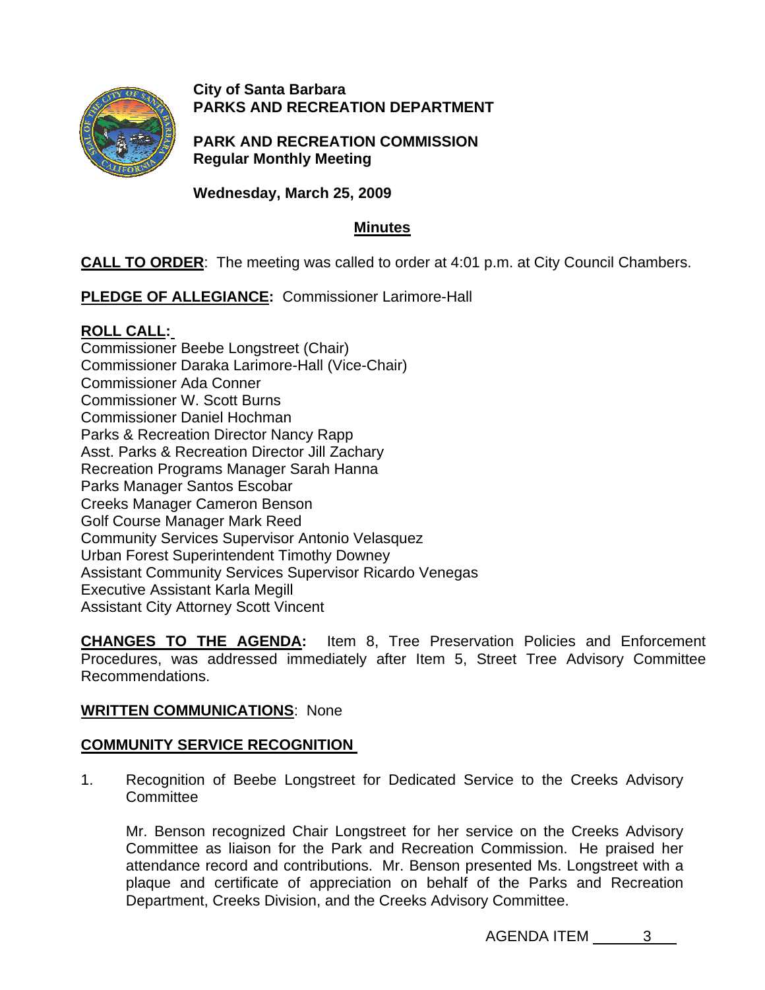

# **City of Santa Barbara PARKS AND RECREATION DEPARTMENT**

**PARK AND RECREATION COMMISSION Regular Monthly Meeting** 

**Wednesday, March 25, 2009**

# **Minutes**

**CALL TO ORDER**: The meeting was called to order at 4:01 p.m. at City Council Chambers.

**PLEDGE OF ALLEGIANCE:** Commissioner Larimore-Hall

# **[ROLL CALL:](http://santabarbara.granicus.com/MediaPlayerFrameHandler.php?view_id=&clip_id=2149&meta_id=103177)**

Commissioner Beebe Longstreet (Chair) Commissioner Daraka Larimore-Hall (Vice-Chair) Commissioner Ada Conner Commissioner W. Scott Burns Commissioner Daniel Hochman Parks & Recreation Director Nancy Rapp Asst. Parks & Recreation Director Jill Zachary Recreation Programs Manager Sarah Hanna Parks Manager Santos Escobar Creeks Manager Cameron Benson Golf Course Manager Mark Reed Community Services Supervisor Antonio Velasquez Urban Forest Superintendent Timothy Downey Assistant Community Services Supervisor Ricardo Venegas Executive Assistant Karla Megill Assistant City Attorney Scott Vincent

**[CHANGES TO THE AGENDA:](http://santabarbara.granicus.com/MediaPlayerFrameHandler.php?view_id=&clip_id=2149&meta_id=103178)** Item 8, Tree Preservation Policies and Enforcement Procedures, was addressed immediately after Item 5, Street Tree Advisory Committee Recommendations.

# **WRITTEN COMMUNICATIONS**: None

# **[COMMUNITY SERVICE RECOGNITION](http://santabarbara.granicus.com/MediaPlayerFrameHandler.php?view_id=&clip_id=2149&meta_id=103181)**

1. Recognition of Beebe Longstreet for Dedicated Service to the Creeks Advisory **Committee** 

Mr. Benson recognized Chair Longstreet for her service on the Creeks Advisory Committee as liaison for the Park and Recreation Commission. He praised her attendance record and contributions. Mr. Benson presented Ms. Longstreet with a plaque and certificate of appreciation on behalf of the Parks and Recreation Department, Creeks Division, and the Creeks Advisory Committee.

AGENDA ITEM 3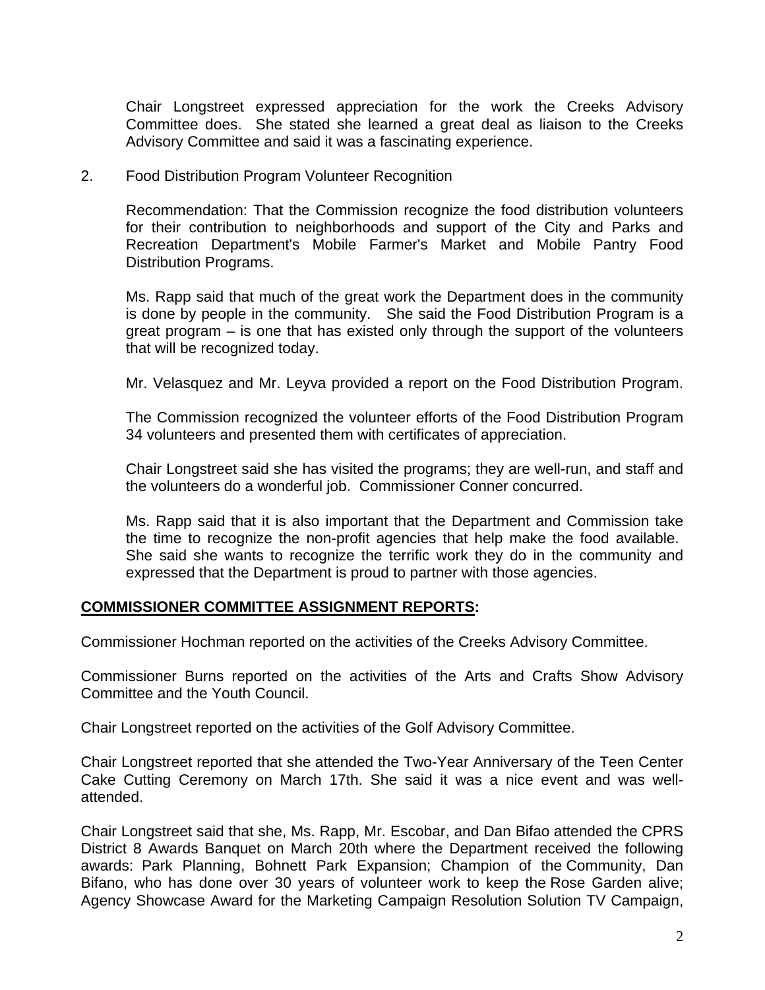Chair Longstreet expressed appreciation for the work the Creeks Advisory Committee does. She stated she learned a great deal as liaison to the Creeks Advisory Committee and said it was a fascinating experience.

2.Food Distribution Program Volunteer Recognition

 Recommendation: That the Commission recognize the food distribution volunteers for their contribution to neighborhoods and support of the City and Parks and Recreation Department's Mobile Farmer's Market and Mobile Pantry Food Distribution Programs.

Ms. Rapp said that much of the great work the Department does in the community is done by people in the community. She said the Food Distribution Program is a great program – is one that has existed only through the support of the volunteers that will be recognized today.

Mr. Velasquez and Mr. Leyva provided a report on the Food Distribution Program.

The Commission recognized the volunteer efforts of the Food Distribution Program 34 volunteers and presented them with certificates of appreciation.

Chair Longstreet said she has visited the programs; they are well-run, and staff and the volunteers do a wonderful job. Commissioner Conner concurred.

Ms. Rapp said that it is also important that the Department and Commission take the time to recognize the non-profit agencies that help make the food available. She said she wants to recognize the terrific work they do in the community and expressed that the Department is proud to partner with those agencies.

## **COMMISSIONER COMMITTEE ASSIGNMENT REPORTS:**

Commissioner Hochman reported on the activities of the Creeks Advisory Committee.

Commissioner Burns reported on the activities of the Arts and Crafts Show Advisory Committee and the Youth Council.

Chair Longstreet reported on the activities of the Golf Advisory Committee.

Chair Longstreet reported that she attended the Two-Year Anniversary of the Teen Center Cake Cutting Ceremony on March 17th. She said it was a nice event and was wellattended.

Chair Longstreet said that she, Ms. Rapp, Mr. Escobar, and Dan Bifao attended the CPRS District 8 Awards Banquet on March 20th where the Department received the following awards: Park Planning, Bohnett Park Expansion; Champion of the Community, Dan Bifano, who has done over 30 years of volunteer work to keep the Rose Garden alive; Agency Showcase Award for the Marketing Campaign Resolution Solution TV Campaign,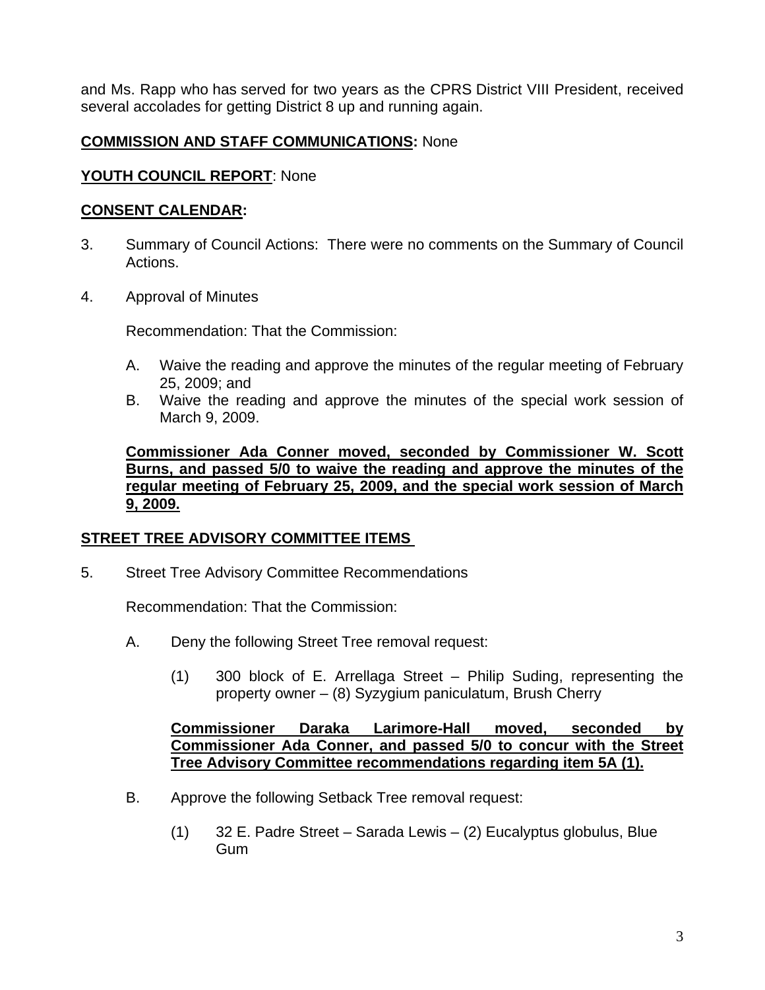and Ms. Rapp who has served for two years as the CPRS District VIII President, received several accolades for getting District 8 up and running again.

# **COMMISSION AND STAFF COMMUNICATIONS:** None

## **YOUTH COUNCIL REPORT**: None

## **CONSENT CALENDAR:**

- 3. Summary of Council Actions: There were no comments on the Summary of Council Actions.
- 4. [Approval of Minutes](http://santabarbara.granicus.com/MediaPlayerFrameHandler.php?view_id=&clip_id=2149&meta_id=103193)

Recommendation: That the Commission:

- A. Waive the reading and approve the minutes of the regular meeting of February 25, 2009; and
- B. Waive the reading and approve the minutes of the special work session of March 9, 2009.

**Commissioner Ada Conner moved, seconded by Commissioner W. Scott Burns, and passed 5/0 to waive the reading and approve the minutes of the regular meeting of February 25, 2009, and the special work session of March 9, 2009.**

## **[STREET TREE ADVISORY COMMITTEE ITEMS](http://santabarbara.granicus.com/MediaPlayerFrameHandler.php?view_id=&clip_id=2149&meta_id=103252)**

5.Street Tree Advisory Committee Recommendations

Recommendation: That the Commission:

- A. Deny the following Street Tree removal request:
	- (1) 300 block of E. Arrellaga Street Philip Suding, representing the property owner – (8) Syzygium paniculatum, Brush Cherry

## **Commissioner Daraka Larimore-Hall moved, seconded by Commissioner Ada Conner, and passed 5/0 to concur with the Street Tree Advisory Committee recommendations regarding item 5A (1).**

- B. Approve the following Setback Tree removal request:
	- (1) 32 E. Padre Street Sarada Lewis (2) Eucalyptus globulus, Blue Gum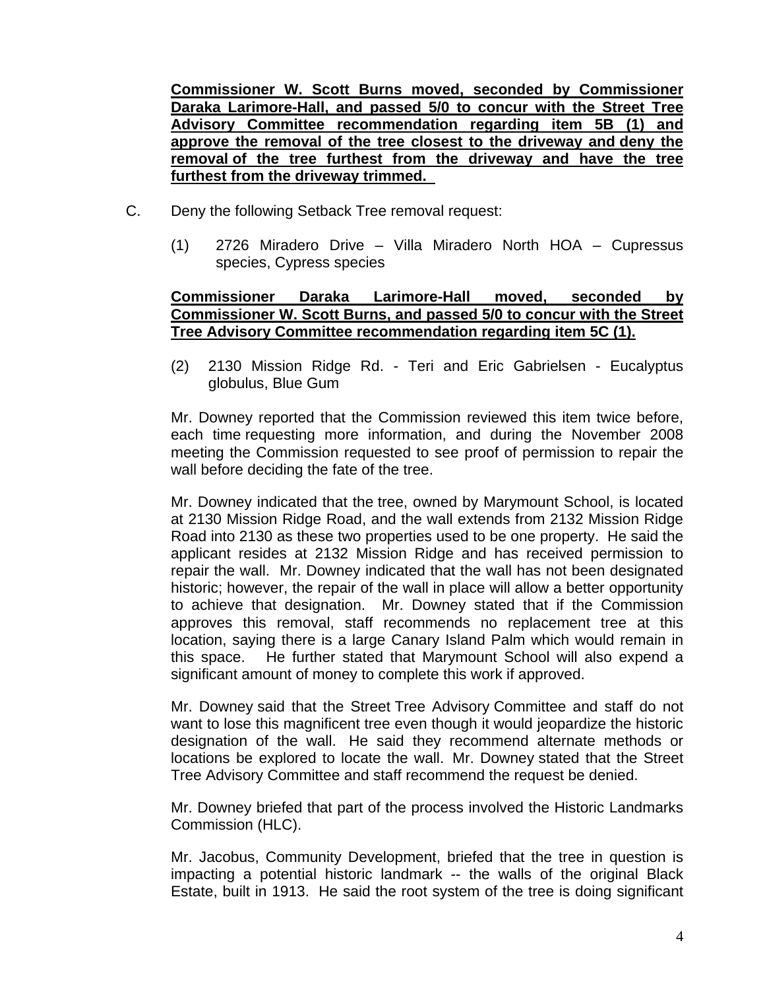**Commissioner W. Scott Burns moved, seconded by Commissioner Daraka Larimore-Hall, and passed 5/0 to concur with the Street Tree Advisory Committee recommendation regarding item 5B (1) and approve the removal of the tree closest to the driveway and deny the removal of the tree furthest from the driveway and have the tree furthest from the driveway trimmed.** 

- C. Deny the following Setback Tree removal request:
	- (1) 2726 Miradero Drive Villa Miradero North HOA Cupressus species, Cypress species

## **Commissioner Daraka Larimore-Hall moved, seconded by Commissioner W. Scott Burns, and passed 5/0 to concur with the Street Tree Advisory Committee recommendation regarding item 5C (1).**

[\(2\) 2130 Mission Ridge Rd. - Teri and Eric Gabrielsen - Eucalyptus](http://santabarbara.granicus.com/MediaPlayerFrameHandler.php?view_id=&clip_id=2149&meta_id=103203)  [globulus, Blue Gum](http://santabarbara.granicus.com/MediaPlayerFrameHandler.php?view_id=&clip_id=2149&meta_id=103203) 

Mr. Downey reported that the Commission reviewed this item twice before, each time requesting more information, and during the November 2008 meeting the Commission requested to see proof of permission to repair the wall before deciding the fate of the tree.

Mr. Downey indicated that the tree, owned by Marymount School, is located at 2130 Mission Ridge Road, and the wall extends from 2132 Mission Ridge Road into 2130 as these two properties used to be one property. He said the applicant resides at 2132 Mission Ridge and has received permission to repair the wall. Mr. Downey indicated that the wall has not been designated historic; however, the repair of the wall in place will allow a better opportunity to achieve that designation. Mr. Downey stated that if the Commission approves this removal, staff recommends no replacement tree at this location, saying there is a large Canary Island Palm which would remain in this space. He further stated that Marymount School will also expend a significant amount of money to complete this work if approved.

Mr. Downey said that the Street Tree Advisory Committee and staff do not want to lose this magnificent tree even though it would jeopardize the historic designation of the wall. He said they recommend alternate methods or locations be explored to locate the wall. Mr. Downey stated that the Street Tree Advisory Committee and staff recommend the request be denied.

Mr. Downey briefed that part of the process involved the Historic Landmarks Commission (HLC).

Mr. Jacobus, Community Development, briefed that the tree in question is impacting a potential historic landmark -- the walls of the original Black Estate, built in 1913. He said the root system of the tree is doing significant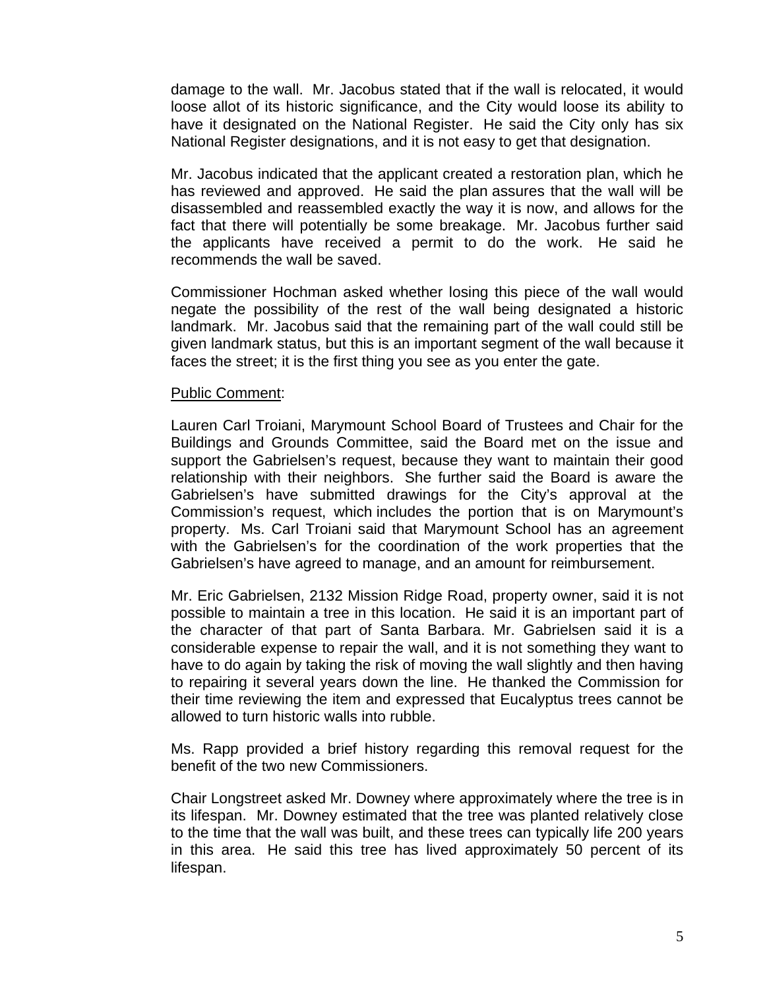damage to the wall. Mr. Jacobus stated that if the wall is relocated, it would loose allot of its historic significance, and the City would loose its ability to have it designated on the National Register. He said the City only has six National Register designations, and it is not easy to get that designation.

Mr. Jacobus indicated that the applicant created a restoration plan, which he has reviewed and approved. He said the plan assures that the wall will be disassembled and reassembled exactly the way it is now, and allows for the fact that there will potentially be some breakage. Mr. Jacobus further said the applicants have received a permit to do the work. He said he recommends the wall be saved.

Commissioner Hochman asked whether losing this piece of the wall would negate the possibility of the rest of the wall being designated a historic landmark. Mr. Jacobus said that the remaining part of the wall could still be given landmark status, but this is an important segment of the wall because it faces the street; it is the first thing you see as you enter the gate.

#### Public Comment:

Lauren Carl Troiani, Marymount School Board of Trustees and Chair for the Buildings and Grounds Committee, said the Board met on the issue and support the Gabrielsen's request, because they want to maintain their good relationship with their neighbors. She further said the Board is aware the Gabrielsen's have submitted drawings for the City's approval at the Commission's request, which includes the portion that is on Marymount's property. Ms. Carl Troiani said that Marymount School has an agreement with the Gabrielsen's for the coordination of the work properties that the Gabrielsen's have agreed to manage, and an amount for reimbursement.

Mr. Eric Gabrielsen, 2132 Mission Ridge Road, property owner, said it is not possible to maintain a tree in this location. He said it is an important part of the character of that part of Santa Barbara. Mr. Gabrielsen said it is a considerable expense to repair the wall, and it is not something they want to have to do again by taking the risk of moving the wall slightly and then having to repairing it several years down the line. He thanked the Commission for their time reviewing the item and expressed that Eucalyptus trees cannot be allowed to turn historic walls into rubble.

Ms. Rapp provided a brief history regarding this removal request for the benefit of the two new Commissioners.

Chair Longstreet asked Mr. Downey where approximately where the tree is in its lifespan. Mr. Downey estimated that the tree was planted relatively close to the time that the wall was built, and these trees can typically life 200 years in this area. He said this tree has lived approximately 50 percent of its lifespan.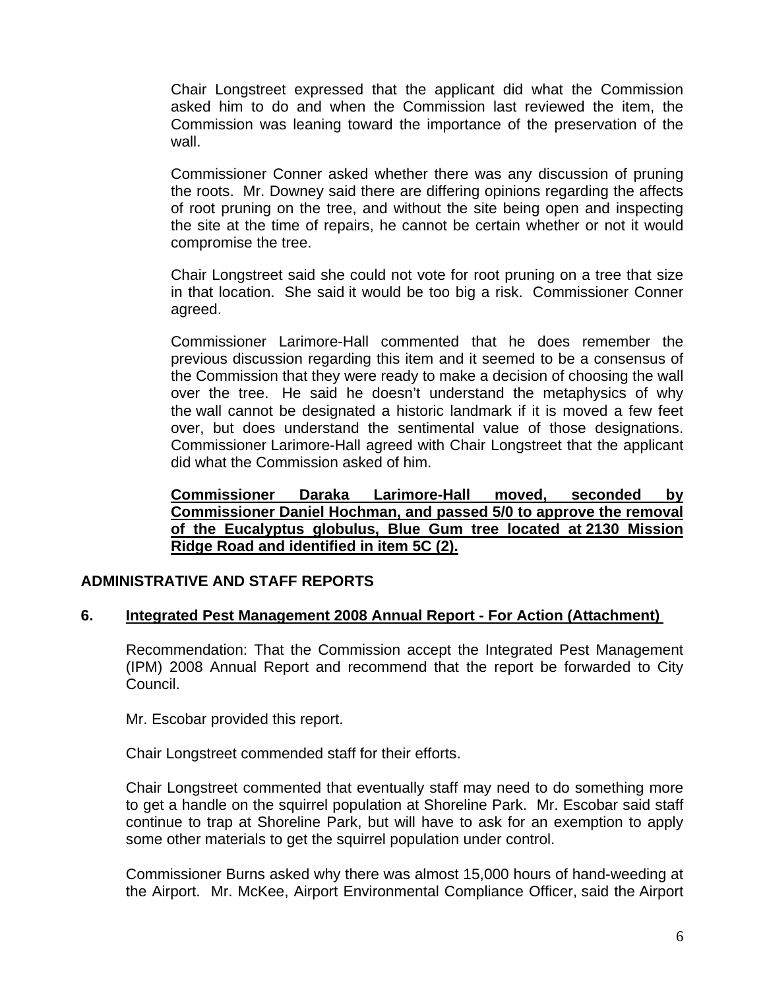Chair Longstreet expressed that the applicant did what the Commission asked him to do and when the Commission last reviewed the item, the Commission was leaning toward the importance of the preservation of the wall.

Commissioner Conner asked whether there was any discussion of pruning the roots. Mr. Downey said there are differing opinions regarding the affects of root pruning on the tree, and without the site being open and inspecting the site at the time of repairs, he cannot be certain whether or not it would compromise the tree.

Chair Longstreet said she could not vote for root pruning on a tree that size in that location. She said it would be too big a risk. Commissioner Conner agreed.

Commissioner Larimore-Hall commented that he does remember the previous discussion regarding this item and it seemed to be a consensus of the Commission that they were ready to make a decision of choosing the wall over the tree. He said he doesn't understand the metaphysics of why the wall cannot be designated a historic landmark if it is moved a few feet over, but does understand the sentimental value of those designations. Commissioner Larimore-Hall agreed with Chair Longstreet that the applicant did what the Commission asked of him.

**Commissioner Daraka Larimore-Hall moved, seconded by Commissioner Daniel Hochman, and passed 5/0 to approve the removal of the Eucalyptus globulus, Blue Gum tree located at 2130 Mission Ridge Road and identified in item 5C (2).**

#### **ADMINISTRATIVE AND STAFF REPORTS**

#### **6. [Integrated Pest Management 2008 Annual Report - For Action \(Attachment\)](http://santabarbara.granicus.com/MediaPlayerFrameHandler.php?view_id=&clip_id=2149&meta_id=103226)**

Recommendation: That the Commission accept the Integrated Pest Management (IPM) 2008 Annual Report and recommend that the report be forwarded to City Council.

Mr. Escobar provided this report.

Chair Longstreet commended staff for their efforts.

Chair Longstreet commented that eventually staff may need to do something more to get a handle on the squirrel population at Shoreline Park. Mr. Escobar said staff continue to trap at Shoreline Park, but will have to ask for an exemption to apply some other materials to get the squirrel population under control.

Commissioner Burns asked why there was almost 15,000 hours of hand-weeding at the Airport. Mr. McKee, Airport Environmental Compliance Officer, said the Airport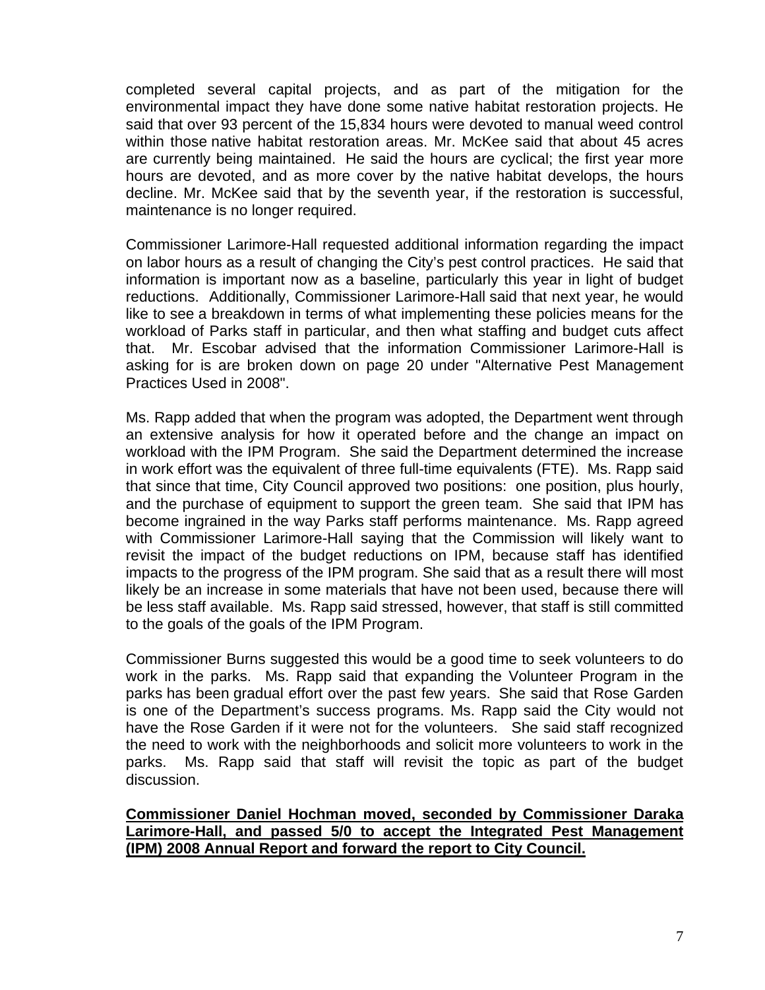completed several capital projects, and as part of the mitigation for the environmental impact they have done some native habitat restoration projects. He said that over 93 percent of the 15,834 hours were devoted to manual weed control within those native habitat restoration areas. Mr. McKee said that about 45 acres are currently being maintained. He said the hours are cyclical; the first year more hours are devoted, and as more cover by the native habitat develops, the hours decline. Mr. McKee said that by the seventh year, if the restoration is successful, maintenance is no longer required.

Commissioner Larimore-Hall requested additional information regarding the impact on labor hours as a result of changing the City's pest control practices. He said that information is important now as a baseline, particularly this year in light of budget reductions. Additionally, Commissioner Larimore-Hall said that next year, he would like to see a breakdown in terms of what implementing these policies means for the workload of Parks staff in particular, and then what staffing and budget cuts affect that. Mr. Escobar advised that the information Commissioner Larimore-Hall is asking for is are broken down on page 20 under "Alternative Pest Management Practices Used in 2008".

Ms. Rapp added that when the program was adopted, the Department went through an extensive analysis for how it operated before and the change an impact on workload with the IPM Program. She said the Department determined the increase in work effort was the equivalent of three full-time equivalents (FTE). Ms. Rapp said that since that time, City Council approved two positions: one position, plus hourly, and the purchase of equipment to support the green team. She said that IPM has become ingrained in the way Parks staff performs maintenance. Ms. Rapp agreed with Commissioner Larimore-Hall saying that the Commission will likely want to revisit the impact of the budget reductions on IPM, because staff has identified impacts to the progress of the IPM program. She said that as a result there will most likely be an increase in some materials that have not been used, because there will be less staff available. Ms. Rapp said stressed, however, that staff is still committed to the goals of the goals of the IPM Program.

Commissioner Burns suggested this would be a good time to seek volunteers to do work in the parks. Ms. Rapp said that expanding the Volunteer Program in the parks has been gradual effort over the past few years. She said that Rose Garden is one of the Department's success programs. Ms. Rapp said the City would not have the Rose Garden if it were not for the volunteers. She said staff recognized the need to work with the neighborhoods and solicit more volunteers to work in the parks. Ms. Rapp said that staff will revisit the topic as part of the budget discussion.

**Commissioner Daniel Hochman moved, seconded by Commissioner Daraka Larimore-Hall, and passed 5/0 to accept the Integrated Pest Management (IPM) 2008 Annual Report and forward the report to City Council.**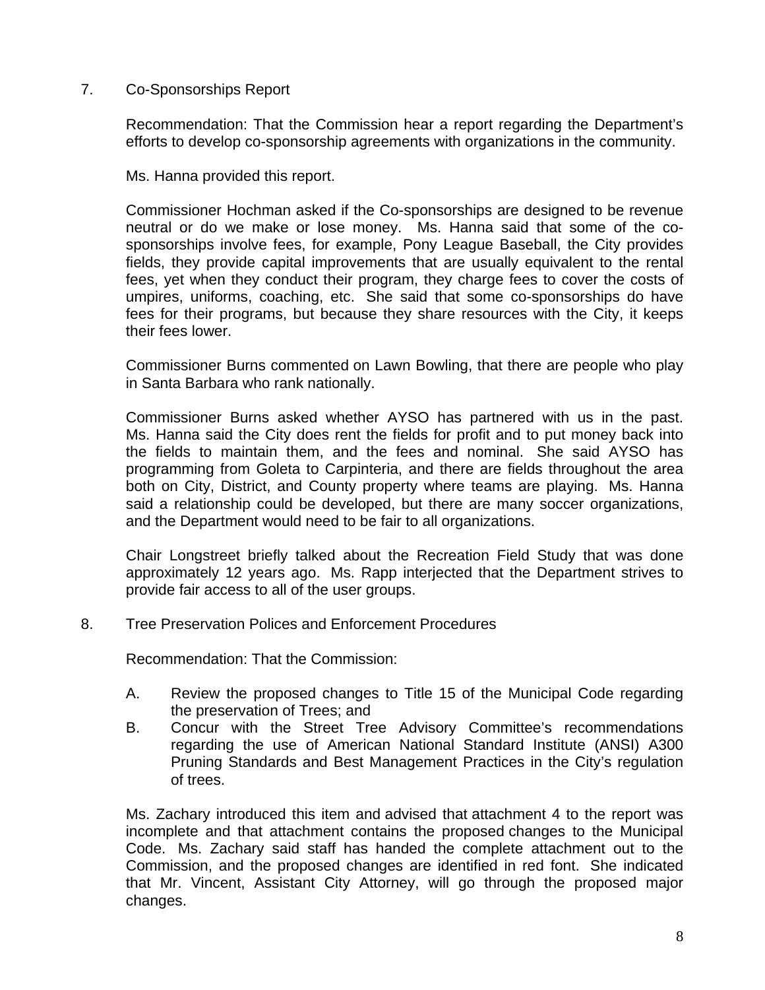### 7.Co-Sponsorships Report

Recommendation: That the Commission hear a report regarding the Department's efforts to develop co-sponsorship agreements with organizations in the community.

Ms. Hanna provided this report.

Commissioner Hochman asked if the Co-sponsorships are designed to be revenue neutral or do we make or lose money. Ms. Hanna said that some of the cosponsorships involve fees, for example, Pony League Baseball, the City provides fields, they provide capital improvements that are usually equivalent to the rental fees, yet when they conduct their program, they charge fees to cover the costs of umpires, uniforms, coaching, etc. She said that some co-sponsorships do have fees for their programs, but because they share resources with the City, it keeps their fees lower.

Commissioner Burns commented on Lawn Bowling, that there are people who play in Santa Barbara who rank nationally.

Commissioner Burns asked whether AYSO has partnered with us in the past. Ms. Hanna said the City does rent the fields for profit and to put money back into the fields to maintain them, and the fees and nominal. She said AYSO has programming from Goleta to Carpinteria, and there are fields throughout the area both on City, District, and County property where teams are playing. Ms. Hanna said a relationship could be developed, but there are many soccer organizations, and the Department would need to be fair to all organizations.

Chair Longstreet briefly talked about the Recreation Field Study that was done approximately 12 years ago. Ms. Rapp interjected that the Department strives to provide fair access to all of the user groups.

8.Tree Preservation Polices and Enforcement Procedures

Recommendation: That the Commission:

- A. Review the proposed changes to Title 15 of the Municipal Code regarding the preservation of Trees; and
- B. Concur with the Street Tree Advisory Committee's recommendations regarding the use of American National Standard Institute (ANSI) A300 Pruning Standards and Best Management Practices in the City's regulation of trees.

Ms. Zachary introduced this item and advised that attachment 4 to the report was incomplete and that attachment contains the proposed changes to the Municipal Code. Ms. Zachary said staff has handed the complete attachment out to the Commission, and the proposed changes are identified in red font. She indicated that Mr. Vincent, Assistant City Attorney, will go through the proposed major changes.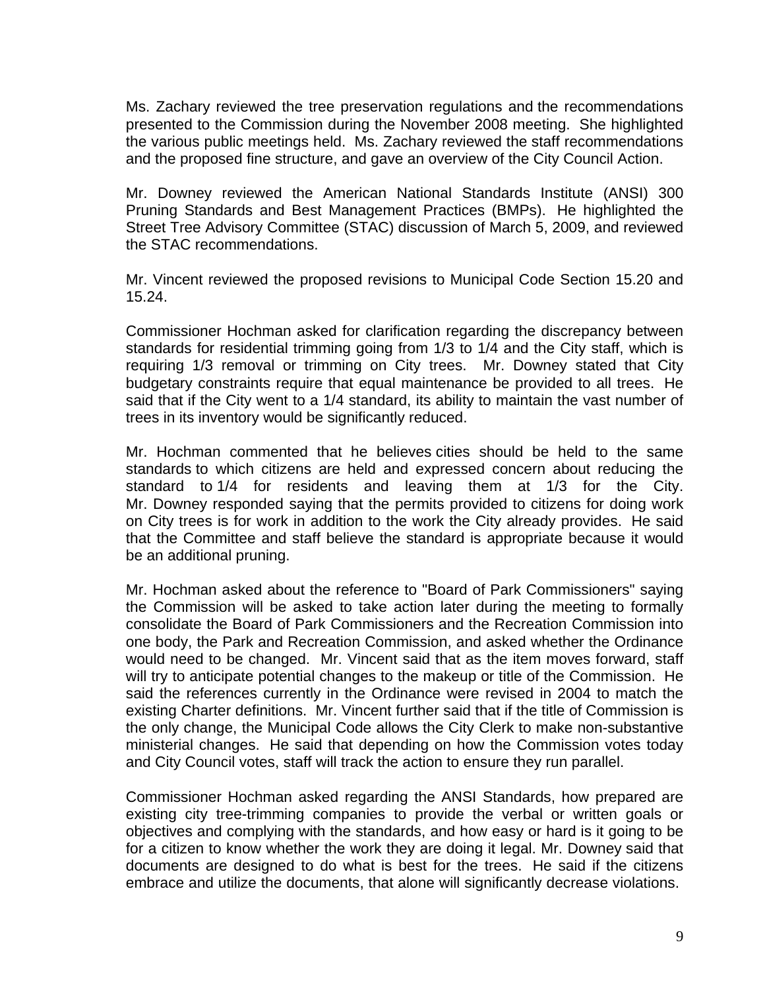Ms. Zachary reviewed the tree preservation regulations and the recommendations presented to the Commission during the November 2008 meeting. She highlighted the various public meetings held. Ms. Zachary reviewed the staff recommendations and the proposed fine structure, and gave an overview of the City Council Action.

Mr. Downey reviewed the American National Standards Institute (ANSI) 300 Pruning Standards and Best Management Practices (BMPs). He highlighted the Street Tree Advisory Committee (STAC) discussion of March 5, 2009, and reviewed the STAC recommendations.

Mr. Vincent reviewed the proposed revisions to Municipal Code Section 15.20 and 15.24.

Commissioner Hochman asked for clarification regarding the discrepancy between standards for residential trimming going from 1/3 to 1/4 and the City staff, which is requiring 1/3 removal or trimming on City trees. Mr. Downey stated that City budgetary constraints require that equal maintenance be provided to all trees. He said that if the City went to a 1/4 standard, its ability to maintain the vast number of trees in its inventory would be significantly reduced.

Mr. Hochman commented that he believes cities should be held to the same standards to which citizens are held and expressed concern about reducing the standard to 1/4 for residents and leaving them at 1/3 for the City. Mr. Downey responded saying that the permits provided to citizens for doing work on City trees is for work in addition to the work the City already provides. He said that the Committee and staff believe the standard is appropriate because it would be an additional pruning.

Mr. Hochman asked about the reference to "Board of Park Commissioners" saying the Commission will be asked to take action later during the meeting to formally consolidate the Board of Park Commissioners and the Recreation Commission into one body, the Park and Recreation Commission, and asked whether the Ordinance would need to be changed. Mr. Vincent said that as the item moves forward, staff will try to anticipate potential changes to the makeup or title of the Commission. He said the references currently in the Ordinance were revised in 2004 to match the existing Charter definitions. Mr. Vincent further said that if the title of Commission is the only change, the Municipal Code allows the City Clerk to make non-substantive ministerial changes. He said that depending on how the Commission votes today and City Council votes, staff will track the action to ensure they run parallel.

Commissioner Hochman asked regarding the ANSI Standards, how prepared are existing city tree-trimming companies to provide the verbal or written goals or objectives and complying with the standards, and how easy or hard is it going to be for a citizen to know whether the work they are doing it legal. Mr. Downey said that documents are designed to do what is best for the trees. He said if the citizens embrace and utilize the documents, that alone will significantly decrease violations.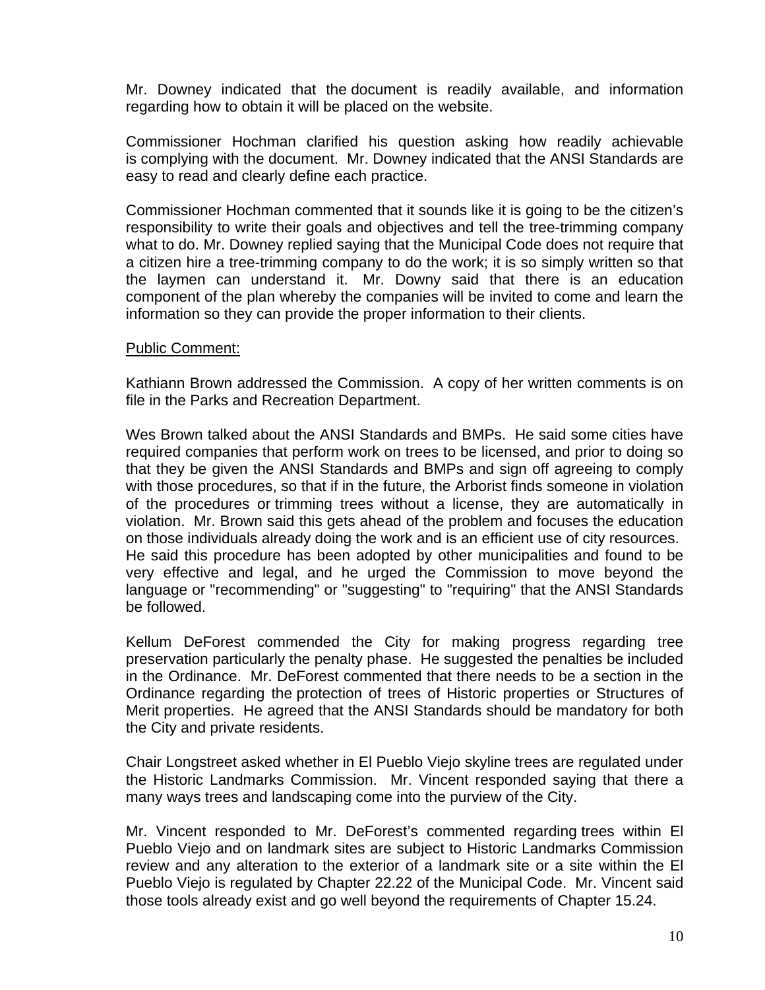Mr. Downey indicated that the document is readily available, and information regarding how to obtain it will be placed on the website.

Commissioner Hochman clarified his question asking how readily achievable is complying with the document. Mr. Downey indicated that the ANSI Standards are easy to read and clearly define each practice.

Commissioner Hochman commented that it sounds like it is going to be the citizen's responsibility to write their goals and objectives and tell the tree-trimming company what to do. Mr. Downey replied saying that the Municipal Code does not require that a citizen hire a tree-trimming company to do the work; it is so simply written so that the laymen can understand it. Mr. Downy said that there is an education component of the plan whereby the companies will be invited to come and learn the information so they can provide the proper information to their clients.

### Public Comment:

Kathiann Brown addressed the Commission. A copy of her written comments is on file in the Parks and Recreation Department.

Wes Brown talked about the ANSI Standards and BMPs. He said some cities have required companies that perform work on trees to be licensed, and prior to doing so that they be given the ANSI Standards and BMPs and sign off agreeing to comply with those procedures, so that if in the future, the Arborist finds someone in violation of the procedures or trimming trees without a license, they are automatically in violation. Mr. Brown said this gets ahead of the problem and focuses the education on those individuals already doing the work and is an efficient use of city resources. He said this procedure has been adopted by other municipalities and found to be very effective and legal, and he urged the Commission to move beyond the language or "recommending" or "suggesting" to "requiring" that the ANSI Standards be followed.

Kellum DeForest commended the City for making progress regarding tree preservation particularly the penalty phase. He suggested the penalties be included in the Ordinance. Mr. DeForest commented that there needs to be a section in the Ordinance regarding the protection of trees of Historic properties or Structures of Merit properties. He agreed that the ANSI Standards should be mandatory for both the City and private residents.

Chair Longstreet asked whether in El Pueblo Viejo skyline trees are regulated under the Historic Landmarks Commission. Mr. Vincent responded saying that there a many ways trees and landscaping come into the purview of the City.

Mr. Vincent responded to Mr. DeForest's commented regarding trees within El Pueblo Viejo and on landmark sites are subject to Historic Landmarks Commission review and any alteration to the exterior of a landmark site or a site within the El Pueblo Viejo is regulated by Chapter 22.22 of the Municipal Code. Mr. Vincent said those tools already exist and go well beyond the requirements of Chapter 15.24.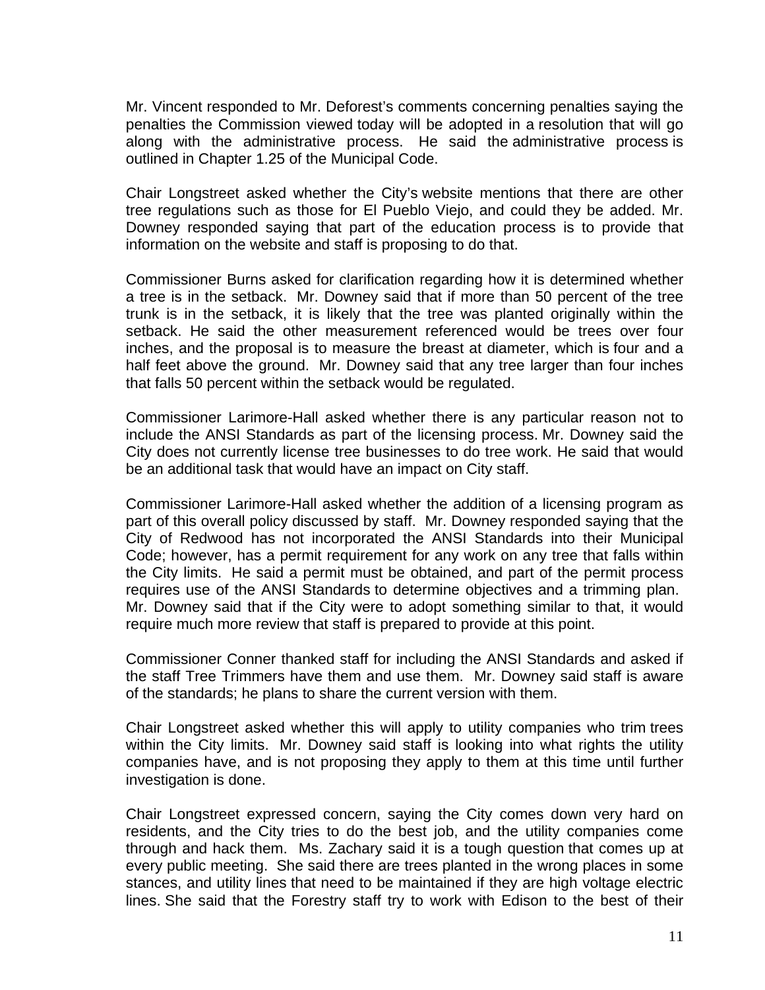Mr. Vincent responded to Mr. Deforest's comments concerning penalties saying the penalties the Commission viewed today will be adopted in a resolution that will go along with the administrative process. He said the administrative process is outlined in Chapter 1.25 of the Municipal Code.

Chair Longstreet asked whether the City's website mentions that there are other tree regulations such as those for El Pueblo Viejo, and could they be added. Mr. Downey responded saying that part of the education process is to provide that information on the website and staff is proposing to do that.

Commissioner Burns asked for clarification regarding how it is determined whether a tree is in the setback. Mr. Downey said that if more than 50 percent of the tree trunk is in the setback, it is likely that the tree was planted originally within the setback. He said the other measurement referenced would be trees over four inches, and the proposal is to measure the breast at diameter, which is four and a half feet above the ground. Mr. Downey said that any tree larger than four inches that falls 50 percent within the setback would be regulated.

Commissioner Larimore-Hall asked whether there is any particular reason not to include the ANSI Standards as part of the licensing process. Mr. Downey said the City does not currently license tree businesses to do tree work. He said that would be an additional task that would have an impact on City staff.

Commissioner Larimore-Hall asked whether the addition of a licensing program as part of this overall policy discussed by staff. Mr. Downey responded saying that the City of Redwood has not incorporated the ANSI Standards into their Municipal Code; however, has a permit requirement for any work on any tree that falls within the City limits. He said a permit must be obtained, and part of the permit process requires use of the ANSI Standards to determine objectives and a trimming plan. Mr. Downey said that if the City were to adopt something similar to that, it would require much more review that staff is prepared to provide at this point.

Commissioner Conner thanked staff for including the ANSI Standards and asked if the staff Tree Trimmers have them and use them. Mr. Downey said staff is aware of the standards; he plans to share the current version with them.

Chair Longstreet asked whether this will apply to utility companies who trim trees within the City limits. Mr. Downey said staff is looking into what rights the utility companies have, and is not proposing they apply to them at this time until further investigation is done.

Chair Longstreet expressed concern, saying the City comes down very hard on residents, and the City tries to do the best job, and the utility companies come through and hack them. Ms. Zachary said it is a tough question that comes up at every public meeting. She said there are trees planted in the wrong places in some stances, and utility lines that need to be maintained if they are high voltage electric lines. She said that the Forestry staff try to work with Edison to the best of their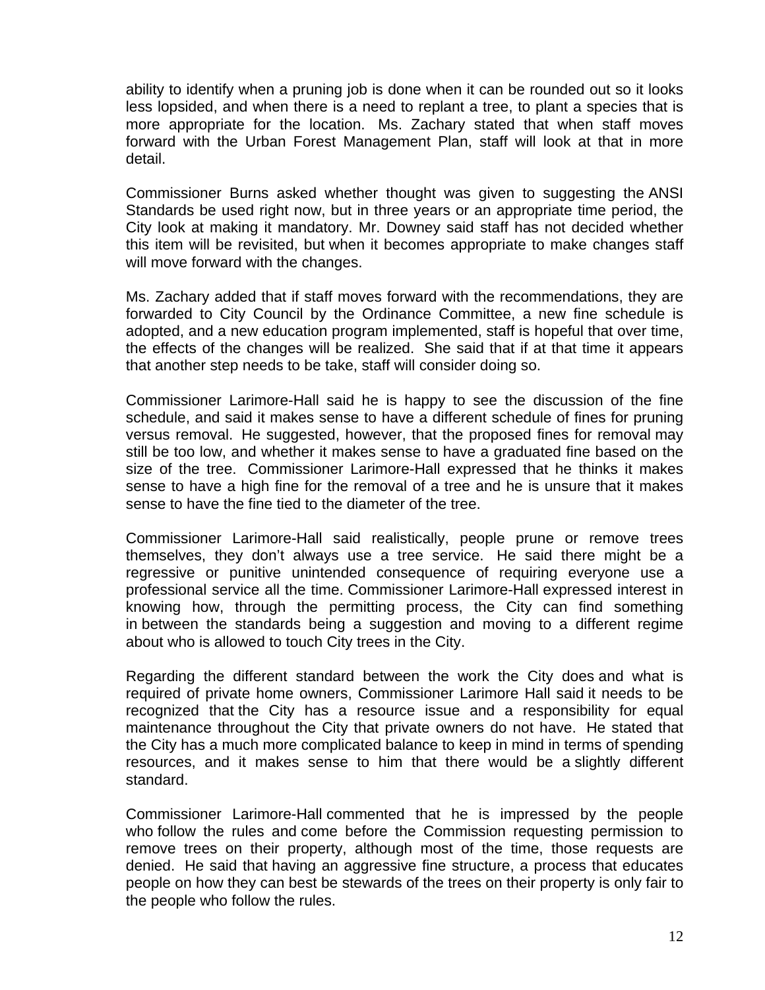ability to identify when a pruning job is done when it can be rounded out so it looks less lopsided, and when there is a need to replant a tree, to plant a species that is more appropriate for the location. Ms. Zachary stated that when staff moves forward with the Urban Forest Management Plan, staff will look at that in more detail.

Commissioner Burns asked whether thought was given to suggesting the ANSI Standards be used right now, but in three years or an appropriate time period, the City look at making it mandatory. Mr. Downey said staff has not decided whether this item will be revisited, but when it becomes appropriate to make changes staff will move forward with the changes.

Ms. Zachary added that if staff moves forward with the recommendations, they are forwarded to City Council by the Ordinance Committee, a new fine schedule is adopted, and a new education program implemented, staff is hopeful that over time, the effects of the changes will be realized. She said that if at that time it appears that another step needs to be take, staff will consider doing so.

Commissioner Larimore-Hall said he is happy to see the discussion of the fine schedule, and said it makes sense to have a different schedule of fines for pruning versus removal. He suggested, however, that the proposed fines for removal may still be too low, and whether it makes sense to have a graduated fine based on the size of the tree. Commissioner Larimore-Hall expressed that he thinks it makes sense to have a high fine for the removal of a tree and he is unsure that it makes sense to have the fine tied to the diameter of the tree.

Commissioner Larimore-Hall said realistically, people prune or remove trees themselves, they don't always use a tree service. He said there might be a regressive or punitive unintended consequence of requiring everyone use a professional service all the time. Commissioner Larimore-Hall expressed interest in knowing how, through the permitting process, the City can find something in between the standards being a suggestion and moving to a different regime about who is allowed to touch City trees in the City.

Regarding the different standard between the work the City does and what is required of private home owners, Commissioner Larimore Hall said it needs to be recognized that the City has a resource issue and a responsibility for equal maintenance throughout the City that private owners do not have. He stated that the City has a much more complicated balance to keep in mind in terms of spending resources, and it makes sense to him that there would be a slightly different standard.

Commissioner Larimore-Hall commented that he is impressed by the people who follow the rules and come before the Commission requesting permission to remove trees on their property, although most of the time, those requests are denied. He said that having an aggressive fine structure, a process that educates people on how they can best be stewards of the trees on their property is only fair to the people who follow the rules.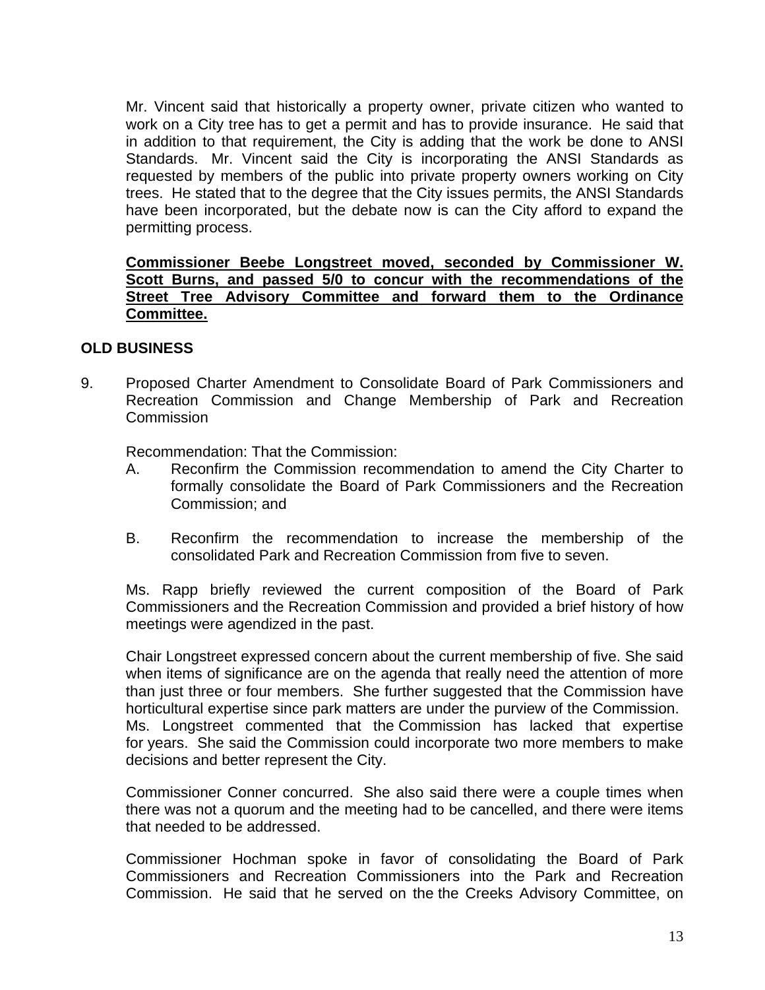Mr. Vincent said that historically a property owner, private citizen who wanted to work on a City tree has to get a permit and has to provide insurance. He said that in addition to that requirement, the City is adding that the work be done to ANSI Standards. Mr. Vincent said the City is incorporating the ANSI Standards as requested by members of the public into private property owners working on City trees. He stated that to the degree that the City issues permits, the ANSI Standards have been incorporated, but the debate now is can the City afford to expand the permitting process.

## **Commissioner Beebe Longstreet moved, seconded by Commissioner W. Scott Burns, and passed 5/0 to concur with the recommendations of the Street Tree Advisory Committee and forward them to the Ordinance Committee.**

## **OLD BUSINESS**

9.Proposed Charter Amendment to Consolidate Board of Park Commissioners and Recreation Commission and Change Membership of Park and Recreation **Commission** 

Recommendation: That the Commission:

- A. Reconfirm the Commission recommendation to amend the City Charter to formally consolidate the Board of Park Commissioners and the Recreation Commission; and
- B. Reconfirm the recommendation to increase the membership of the consolidated Park and Recreation Commission from five to seven.

Ms. Rapp briefly reviewed the current composition of the Board of Park Commissioners and the Recreation Commission and provided a brief history of how meetings were agendized in the past.

Chair Longstreet expressed concern about the current membership of five. She said when items of significance are on the agenda that really need the attention of more than just three or four members. She further suggested that the Commission have horticultural expertise since park matters are under the purview of the Commission. Ms. Longstreet commented that the Commission has lacked that expertise for years. She said the Commission could incorporate two more members to make decisions and better represent the City.

Commissioner Conner concurred. She also said there were a couple times when there was not a quorum and the meeting had to be cancelled, and there were items that needed to be addressed.

Commissioner Hochman spoke in favor of consolidating the Board of Park Commissioners and Recreation Commissioners into the Park and Recreation Commission. He said that he served on the the Creeks Advisory Committee, on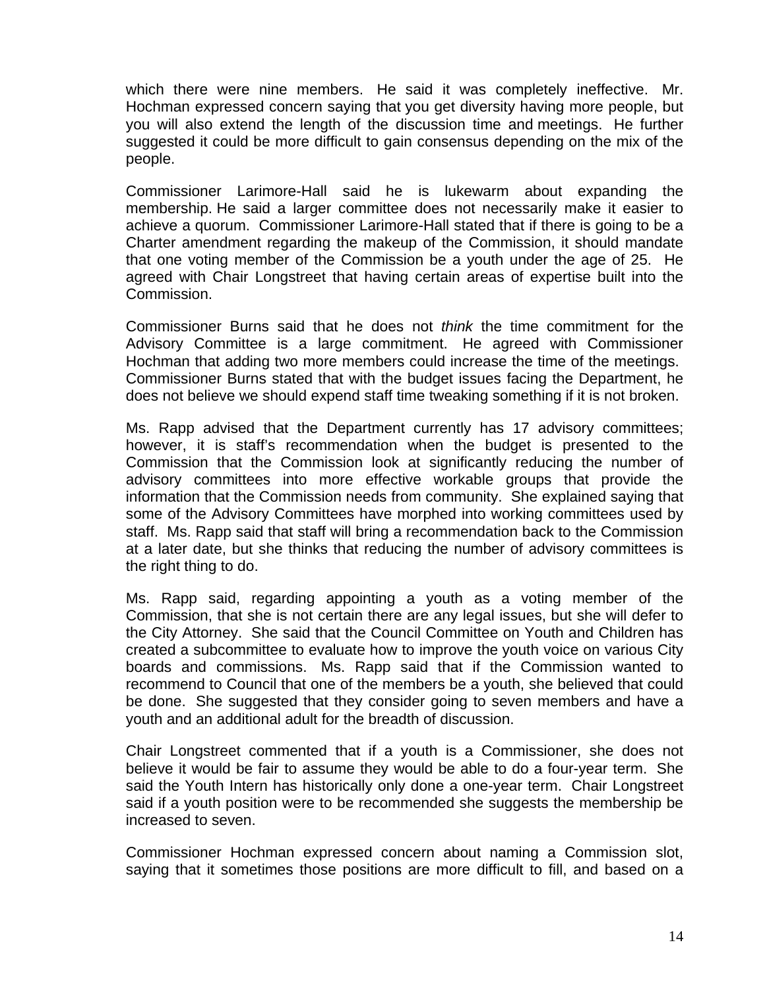which there were nine members. He said it was completely ineffective. Mr. Hochman expressed concern saying that you get diversity having more people, but you will also extend the length of the discussion time and meetings. He further suggested it could be more difficult to gain consensus depending on the mix of the people.

Commissioner Larimore-Hall said he is lukewarm about expanding the membership. He said a larger committee does not necessarily make it easier to achieve a quorum. Commissioner Larimore-Hall stated that if there is going to be a Charter amendment regarding the makeup of the Commission, it should mandate that one voting member of the Commission be a youth under the age of 25. He agreed with Chair Longstreet that having certain areas of expertise built into the Commission.

Commissioner Burns said that he does not *think* the time commitment for the Advisory Committee is a large commitment. He agreed with Commissioner Hochman that adding two more members could increase the time of the meetings. Commissioner Burns stated that with the budget issues facing the Department, he does not believe we should expend staff time tweaking something if it is not broken.

Ms. Rapp advised that the Department currently has 17 advisory committees; however, it is staff's recommendation when the budget is presented to the Commission that the Commission look at significantly reducing the number of advisory committees into more effective workable groups that provide the information that the Commission needs from community. She explained saying that some of the Advisory Committees have morphed into working committees used by staff. Ms. Rapp said that staff will bring a recommendation back to the Commission at a later date, but she thinks that reducing the number of advisory committees is the right thing to do.

Ms. Rapp said, regarding appointing a youth as a voting member of the Commission, that she is not certain there are any legal issues, but she will defer to the City Attorney. She said that the Council Committee on Youth and Children has created a subcommittee to evaluate how to improve the youth voice on various City boards and commissions. Ms. Rapp said that if the Commission wanted to recommend to Council that one of the members be a youth, she believed that could be done. She suggested that they consider going to seven members and have a youth and an additional adult for the breadth of discussion.

Chair Longstreet commented that if a youth is a Commissioner, she does not believe it would be fair to assume they would be able to do a four-year term. She said the Youth Intern has historically only done a one-year term. Chair Longstreet said if a youth position were to be recommended she suggests the membership be increased to seven.

Commissioner Hochman expressed concern about naming a Commission slot, saying that it sometimes those positions are more difficult to fill, and based on a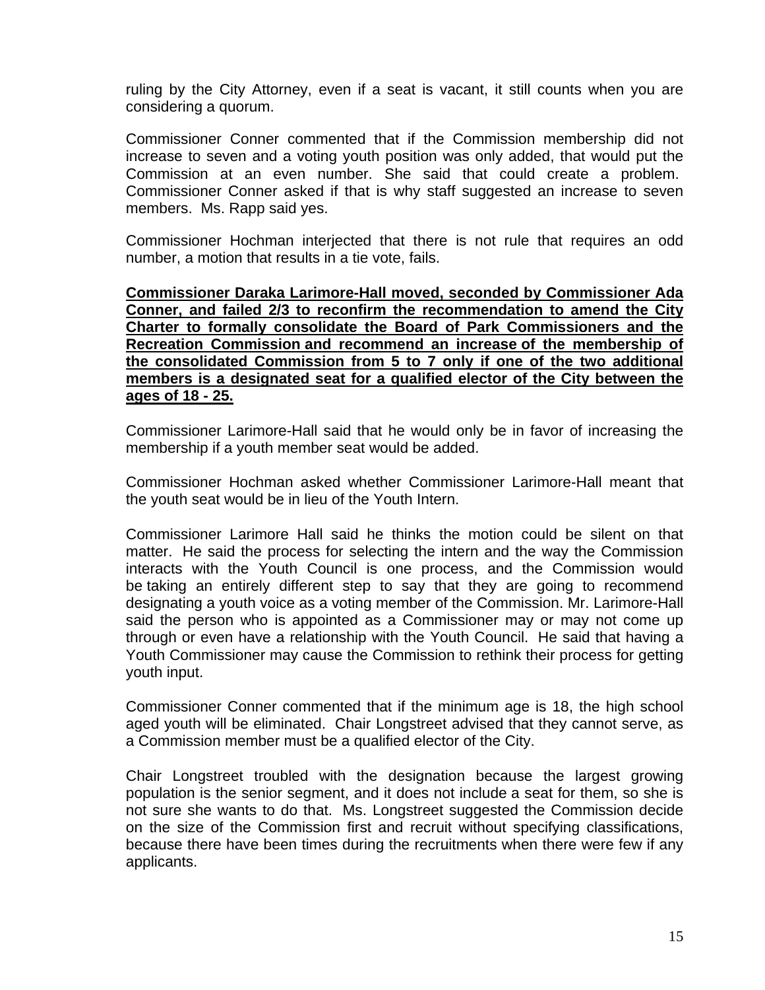ruling by the City Attorney, even if a seat is vacant, it still counts when you are considering a quorum.

Commissioner Conner commented that if the Commission membership did not increase to seven and a voting youth position was only added, that would put the Commission at an even number. She said that could create a problem. Commissioner Conner asked if that is why staff suggested an increase to seven members. Ms. Rapp said yes.

Commissioner Hochman interjected that there is not rule that requires an odd number, a motion that results in a tie vote, fails.

**Commissioner Daraka Larimore-Hall moved, seconded by Commissioner Ada Conner, and failed 2/3 to reconfirm the recommendation to amend the City Charter to formally consolidate the Board of Park Commissioners and the Recreation Commission and recommend an increase of the membership of the consolidated Commission from 5 to 7 only if one of the two additional members is a designated seat for a qualified elector of the City between the ages of 18 - 25.** 

Commissioner Larimore-Hall said that he would only be in favor of increasing the membership if a youth member seat would be added.

Commissioner Hochman asked whether Commissioner Larimore-Hall meant that the youth seat would be in lieu of the Youth Intern.

Commissioner Larimore Hall said he thinks the motion could be silent on that matter. He said the process for selecting the intern and the way the Commission interacts with the Youth Council is one process, and the Commission would be taking an entirely different step to say that they are going to recommend designating a youth voice as a voting member of the Commission. Mr. Larimore-Hall said the person who is appointed as a Commissioner may or may not come up through or even have a relationship with the Youth Council. He said that having a Youth Commissioner may cause the Commission to rethink their process for getting youth input.

Commissioner Conner commented that if the minimum age is 18, the high school aged youth will be eliminated. Chair Longstreet advised that they cannot serve, as a Commission member must be a qualified elector of the City.

Chair Longstreet troubled with the designation because the largest growing population is the senior segment, and it does not include a seat for them, so she is not sure she wants to do that. Ms. Longstreet suggested the Commission decide on the size of the Commission first and recruit without specifying classifications, because there have been times during the recruitments when there were few if any applicants.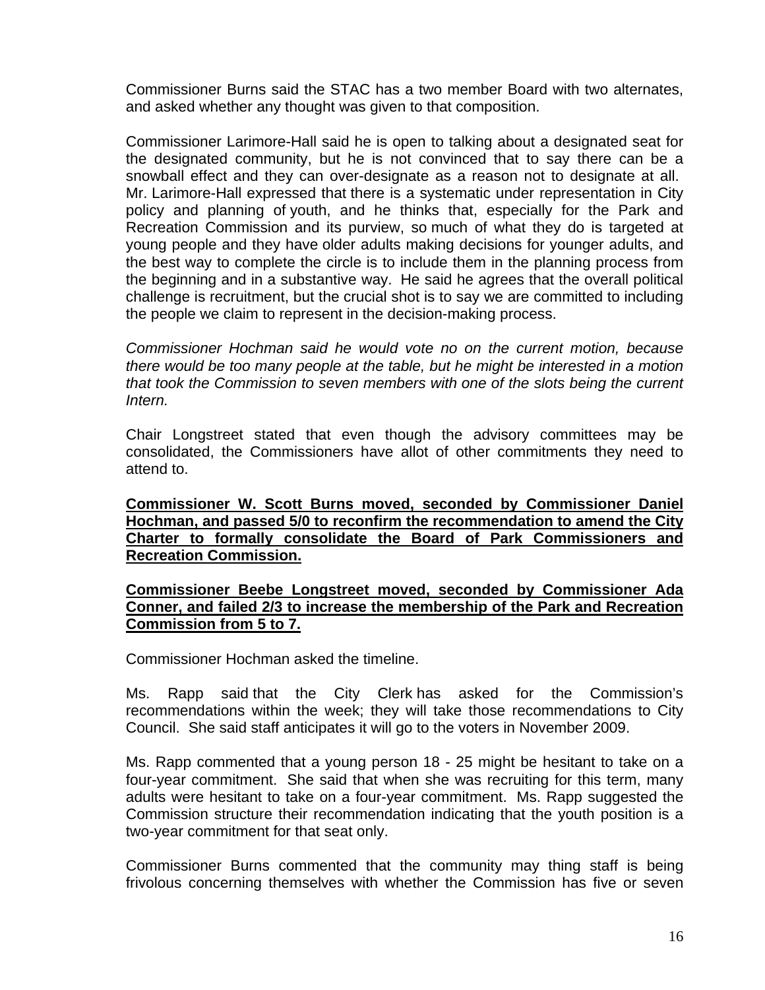Commissioner Burns said the STAC has a two member Board with two alternates, and asked whether any thought was given to that composition.

Commissioner Larimore-Hall said he is open to talking about a designated seat for the designated community, but he is not convinced that to say there can be a snowball effect and they can over-designate as a reason not to designate at all. Mr. Larimore-Hall expressed that there is a systematic under representation in City policy and planning of youth, and he thinks that, especially for the Park and Recreation Commission and its purview, so much of what they do is targeted at young people and they have older adults making decisions for younger adults, and the best way to complete the circle is to include them in the planning process from the beginning and in a substantive way. He said he agrees that the overall political challenge is recruitment, but the crucial shot is to say we are committed to including the people we claim to represent in the decision-making process.

*Commissioner Hochman said he would vote no on the current motion, because there would be too many people at the table, but he might be interested in a motion that took the Commission to seven members with one of the slots being the current Intern.* 

Chair Longstreet stated that even though the advisory committees may be consolidated, the Commissioners have allot of other commitments they need to attend to.

**Commissioner W. Scott Burns moved, seconded by Commissioner Daniel Hochman, and passed 5/0 to reconfirm the recommendation to amend the City Charter to formally consolidate the Board of Park Commissioners and Recreation Commission.** 

### **Commissioner Beebe Longstreet moved, seconded by Commissioner Ada Conner, and failed 2/3 to increase the membership of the Park and Recreation Commission from 5 to 7.**

Commissioner Hochman asked the timeline.

Ms. Rapp said that the City Clerk has asked for the Commission's recommendations within the week; they will take those recommendations to City Council. She said staff anticipates it will go to the voters in November 2009.

Ms. Rapp commented that a young person 18 - 25 might be hesitant to take on a four-year commitment. She said that when she was recruiting for this term, many adults were hesitant to take on a four-year commitment. Ms. Rapp suggested the Commission structure their recommendation indicating that the youth position is a two-year commitment for that seat only.

Commissioner Burns commented that the community may thing staff is being frivolous concerning themselves with whether the Commission has five or seven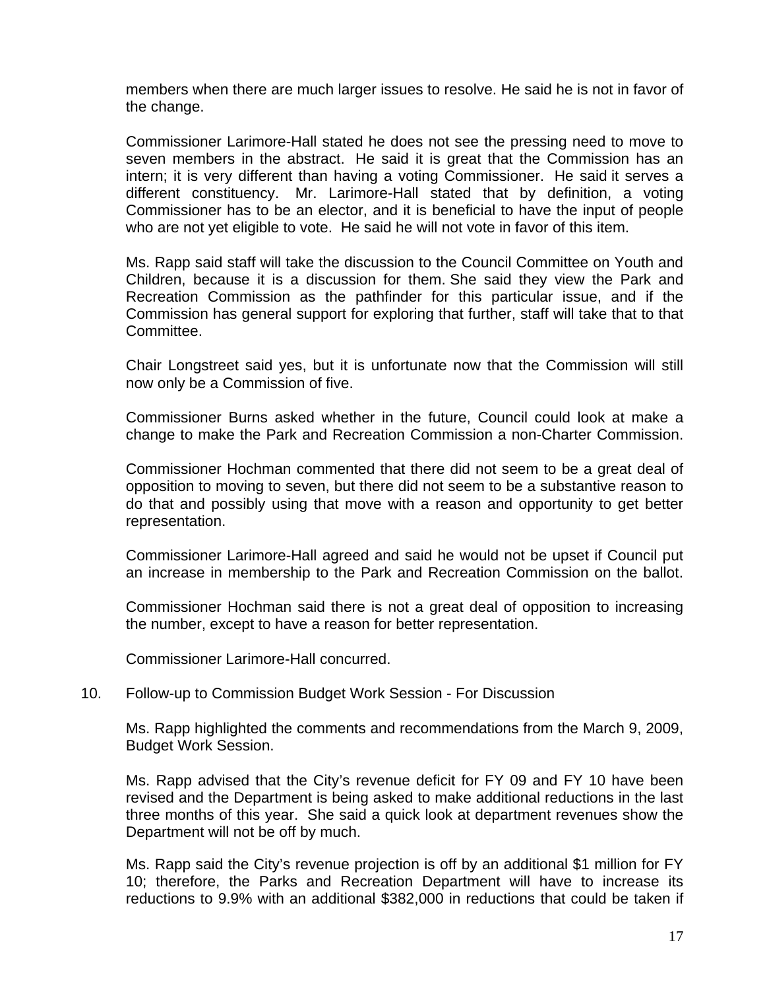members when there are much larger issues to resolve. He said he is not in favor of the change.

Commissioner Larimore-Hall stated he does not see the pressing need to move to seven members in the abstract. He said it is great that the Commission has an intern; it is very different than having a voting Commissioner. He said it serves a different constituency. Mr. Larimore-Hall stated that by definition, a voting Commissioner has to be an elector, and it is beneficial to have the input of people who are not yet eligible to vote. He said he will not vote in favor of this item.

Ms. Rapp said staff will take the discussion to the Council Committee on Youth and Children, because it is a discussion for them. She said they view the Park and Recreation Commission as the pathfinder for this particular issue, and if the Commission has general support for exploring that further, staff will take that to that Committee.

Chair Longstreet said yes, but it is unfortunate now that the Commission will still now only be a Commission of five.

Commissioner Burns asked whether in the future, Council could look at make a change to make the Park and Recreation Commission a non-Charter Commission.

Commissioner Hochman commented that there did not seem to be a great deal of opposition to moving to seven, but there did not seem to be a substantive reason to do that and possibly using that move with a reason and opportunity to get better representation.

Commissioner Larimore-Hall agreed and said he would not be upset if Council put an increase in membership to the Park and Recreation Commission on the ballot.

Commissioner Hochman said there is not a great deal of opposition to increasing the number, except to have a reason for better representation.

Commissioner Larimore-Hall concurred.

#### 10. [Follow-up to Commission Budget Work Session - For Discussion](http://santabarbara.granicus.com/MediaPlayerFrameHandler.php?view_id=&clip_id=2149&meta_id=103245)

Ms. Rapp highlighted the comments and recommendations from the March 9, 2009, Budget Work Session.

Ms. Rapp advised that the City's revenue deficit for FY 09 and FY 10 have been revised and the Department is being asked to make additional reductions in the last three months of this year. She said a quick look at department revenues show the Department will not be off by much.

Ms. Rapp said the City's revenue projection is off by an additional \$1 million for FY 10; therefore, the Parks and Recreation Department will have to increase its reductions to 9.9% with an additional \$382,000 in reductions that could be taken if